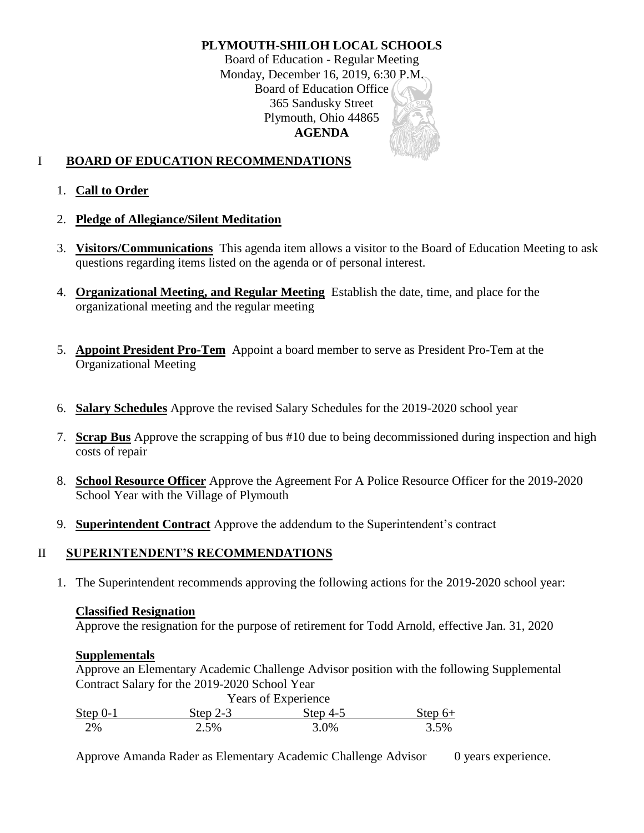#### **PLYMOUTH-SHILOH LOCAL SCHOOLS** Board of Education - Regular Meeting Monday, December 16, 2019, 6:30 P.M. Board of Education Office 365 Sandusky Street Plymouth, Ohio 44865 **AGENDA**

# I **BOARD OF EDUCATION RECOMMENDATIONS**

- 1. **Call to Order**
- 2. **Pledge of Allegiance/Silent Meditation**
- 3. **Visitors/Communications** This agenda item allows a visitor to the Board of Education Meeting to ask questions regarding items listed on the agenda or of personal interest.
- 4. **Organizational Meeting, and Regular Meeting** Establish the date, time, and place for the organizational meeting and the regular meeting
- 5. **Appoint President Pro-Tem** Appoint a board member to serve as President Pro-Tem at the Organizational Meeting
- 6. **Salary Schedules** Approve the revised Salary Schedules for the 2019-2020 school year
- 7. **Scrap Bus** Approve the scrapping of bus #10 due to being decommissioned during inspection and high costs of repair
- 8. **School Resource Officer** Approve the Agreement For A Police Resource Officer for the 2019-2020 School Year with the Village of Plymouth
- 9. **Superintendent Contract** Approve the addendum to the Superintendent's contract

#### II **SUPERINTENDENT'S RECOMMENDATIONS**

1. The Superintendent recommends approving the following actions for the 2019-2020 school year:

#### **Classified Resignation**

Approve the resignation for the purpose of retirement for Todd Arnold, effective Jan. 31, 2020

#### **Supplementals**

Approve an Elementary Academic Challenge Advisor position with the following Supplemental Contract Salary for the 2019-2020 School Year

| Years of Experience |            |          |           |
|---------------------|------------|----------|-----------|
| Step $0-1$          | Step $2-3$ | Step 4-5 | Step $6+$ |
| 2%                  | 2.5%       | 3.0%     | 3.5%      |

Approve Amanda Rader as Elementary Academic Challenge Advisor 0 years experience.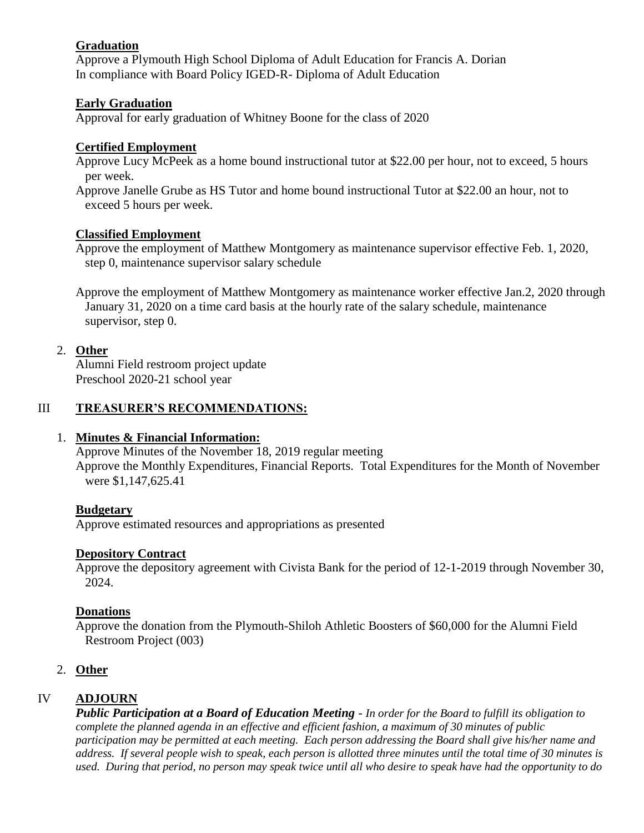### **Graduation**

Approve a Plymouth High School Diploma of Adult Education for Francis A. Dorian In compliance with Board Policy IGED-R- Diploma of Adult Education

### **Early Graduation**

Approval for early graduation of Whitney Boone for the class of 2020

# **Certified Employment**

Approve Lucy McPeek as a home bound instructional tutor at \$22.00 per hour, not to exceed, 5 hours per week.

Approve Janelle Grube as HS Tutor and home bound instructional Tutor at \$22.00 an hour, not to exceed 5 hours per week.

## **Classified Employment**

Approve the employment of Matthew Montgomery as maintenance supervisor effective Feb. 1, 2020, step 0, maintenance supervisor salary schedule

Approve the employment of Matthew Montgomery as maintenance worker effective Jan.2, 2020 through January 31, 2020 on a time card basis at the hourly rate of the salary schedule, maintenance supervisor, step 0.

## 2. **Other**

Alumni Field restroom project update Preschool 2020-21 school year

## III **TREASURER'S RECOMMENDATIONS:**

# 1. **Minutes & Financial Information:**

Approve Minutes of the November 18, 2019 regular meeting Approve the Monthly Expenditures, Financial Reports. Total Expenditures for the Month of November were \$1,147,625.41

### **Budgetary**

Approve estimated resources and appropriations as presented

### **Depository Contract**

Approve the depository agreement with Civista Bank for the period of 12-1-2019 through November 30, 2024.

# **Donations**

Approve the donation from the Plymouth-Shiloh Athletic Boosters of \$60,000 for the Alumni Field Restroom Project (003)

# 2. **Other**

# IV **ADJOURN**

*Public Participation at a Board of Education Meeting - In order for the Board to fulfill its obligation to complete the planned agenda in an effective and efficient fashion, a maximum of 30 minutes of public participation may be permitted at each meeting. Each person addressing the Board shall give his/her name and address. If several people wish to speak, each person is allotted three minutes until the total time of 30 minutes is used. During that period, no person may speak twice until all who desire to speak have had the opportunity to do*